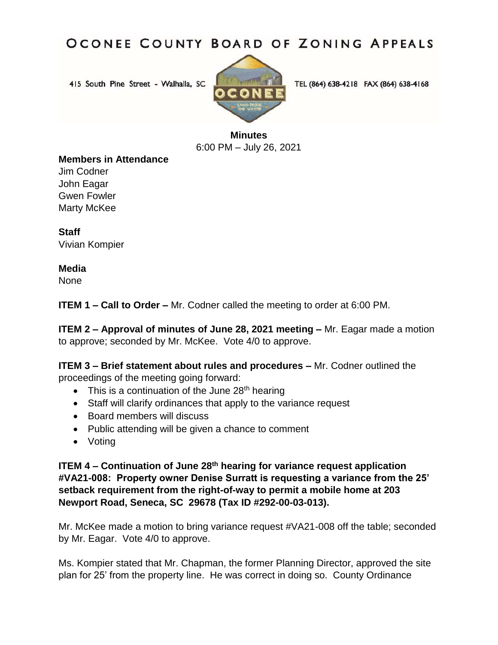## OCONEE COUNTY BOARD OF ZONING APPEALS

415 South Pine Street - Walhalla, SC



TEL (864) 638-4218 FAX (864) 638-4168

**Minutes** 6:00 PM – July 26, 2021

## **Members in Attendance**

Jim Codner John Eagar Gwen Fowler Marty McKee

**Staff** Vivian Kompier

## **Media**

None

**ITEM 1 – Call to Order –** Mr. Codner called the meeting to order at 6:00 PM.

**ITEM 2 – Approval of minutes of June 28, 2021 meeting – Mr. Eagar made a motion** to approve; seconded by Mr. McKee. Vote 4/0 to approve.

**ITEM 3 – Brief statement about rules and procedures – Mr. Codner outlined the** proceedings of the meeting going forward:

- $\bullet$  This is a continuation of the June 28<sup>th</sup> hearing
- Staff will clarify ordinances that apply to the variance request
- Board members will discuss
- Public attending will be given a chance to comment
- Voting

**ITEM 4 – Continuation of June 28th hearing for variance request application #VA21-008: Property owner Denise Surratt is requesting a variance from the 25' setback requirement from the right-of-way to permit a mobile home at 203 Newport Road, Seneca, SC 29678 (Tax ID #292-00-03-013).**

Mr. McKee made a motion to bring variance request #VA21-008 off the table; seconded by Mr. Eagar. Vote 4/0 to approve.

Ms. Kompier stated that Mr. Chapman, the former Planning Director, approved the site plan for 25' from the property line. He was correct in doing so. County Ordinance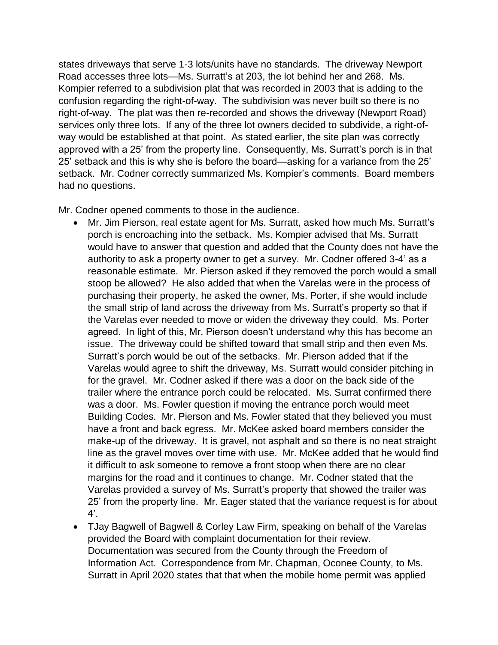states driveways that serve 1-3 lots/units have no standards. The driveway Newport Road accesses three lots—Ms. Surratt's at 203, the lot behind her and 268. Ms. Kompier referred to a subdivision plat that was recorded in 2003 that is adding to the confusion regarding the right-of-way. The subdivision was never built so there is no right-of-way. The plat was then re-recorded and shows the driveway (Newport Road) services only three lots. If any of the three lot owners decided to subdivide, a right-ofway would be established at that point. As stated earlier, the site plan was correctly approved with a 25' from the property line. Consequently, Ms. Surratt's porch is in that 25' setback and this is why she is before the board—asking for a variance from the 25' setback. Mr. Codner correctly summarized Ms. Kompier's comments. Board members had no questions.

Mr. Codner opened comments to those in the audience.

- Mr. Jim Pierson, real estate agent for Ms. Surratt, asked how much Ms. Surratt's porch is encroaching into the setback. Ms. Kompier advised that Ms. Surratt would have to answer that question and added that the County does not have the authority to ask a property owner to get a survey. Mr. Codner offered 3-4' as a reasonable estimate. Mr. Pierson asked if they removed the porch would a small stoop be allowed? He also added that when the Varelas were in the process of purchasing their property, he asked the owner, Ms. Porter, if she would include the small strip of land across the driveway from Ms. Surratt's property so that if the Varelas ever needed to move or widen the driveway they could. Ms. Porter agreed. In light of this, Mr. Pierson doesn't understand why this has become an issue. The driveway could be shifted toward that small strip and then even Ms. Surratt's porch would be out of the setbacks. Mr. Pierson added that if the Varelas would agree to shift the driveway, Ms. Surratt would consider pitching in for the gravel. Mr. Codner asked if there was a door on the back side of the trailer where the entrance porch could be relocated. Ms. Surrat confirmed there was a door. Ms. Fowler question if moving the entrance porch would meet Building Codes. Mr. Pierson and Ms. Fowler stated that they believed you must have a front and back egress. Mr. McKee asked board members consider the make-up of the driveway. It is gravel, not asphalt and so there is no neat straight line as the gravel moves over time with use. Mr. McKee added that he would find it difficult to ask someone to remove a front stoop when there are no clear margins for the road and it continues to change. Mr. Codner stated that the Varelas provided a survey of Ms. Surratt's property that showed the trailer was 25' from the property line. Mr. Eager stated that the variance request is for about  $4^\prime$ .
- TJay Bagwell of Bagwell & Corley Law Firm, speaking on behalf of the Varelas provided the Board with complaint documentation for their review. Documentation was secured from the County through the Freedom of Information Act. Correspondence from Mr. Chapman, Oconee County, to Ms. Surratt in April 2020 states that that when the mobile home permit was applied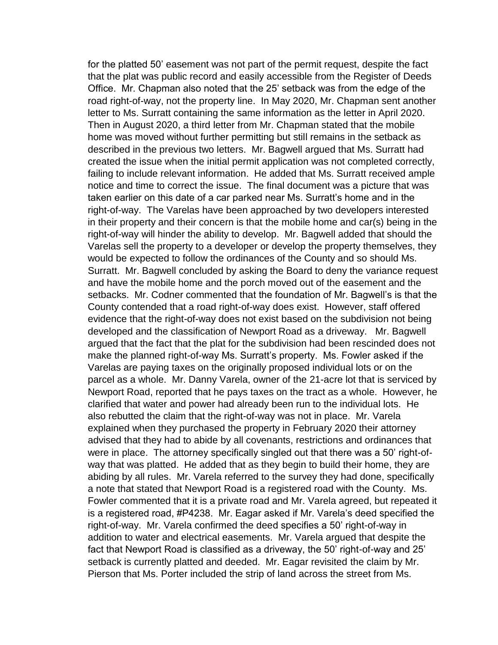for the platted 50' easement was not part of the permit request, despite the fact that the plat was public record and easily accessible from the Register of Deeds Office. Mr. Chapman also noted that the 25' setback was from the edge of the road right-of-way, not the property line. In May 2020, Mr. Chapman sent another letter to Ms. Surratt containing the same information as the letter in April 2020. Then in August 2020, a third letter from Mr. Chapman stated that the mobile home was moved without further permitting but still remains in the setback as described in the previous two letters. Mr. Bagwell argued that Ms. Surratt had created the issue when the initial permit application was not completed correctly, failing to include relevant information. He added that Ms. Surratt received ample notice and time to correct the issue. The final document was a picture that was taken earlier on this date of a car parked near Ms. Surratt's home and in the right-of-way. The Varelas have been approached by two developers interested in their property and their concern is that the mobile home and car(s) being in the right-of-way will hinder the ability to develop. Mr. Bagwell added that should the Varelas sell the property to a developer or develop the property themselves, they would be expected to follow the ordinances of the County and so should Ms. Surratt. Mr. Bagwell concluded by asking the Board to deny the variance request and have the mobile home and the porch moved out of the easement and the setbacks. Mr. Codner commented that the foundation of Mr. Bagwell's is that the County contended that a road right-of-way does exist. However, staff offered evidence that the right-of-way does not exist based on the subdivision not being developed and the classification of Newport Road as a driveway. Mr. Bagwell argued that the fact that the plat for the subdivision had been rescinded does not make the planned right-of-way Ms. Surratt's property. Ms. Fowler asked if the Varelas are paying taxes on the originally proposed individual lots or on the parcel as a whole. Mr. Danny Varela, owner of the 21-acre lot that is serviced by Newport Road, reported that he pays taxes on the tract as a whole. However, he clarified that water and power had already been run to the individual lots. He also rebutted the claim that the right-of-way was not in place. Mr. Varela explained when they purchased the property in February 2020 their attorney advised that they had to abide by all covenants, restrictions and ordinances that were in place. The attorney specifically singled out that there was a 50' right-ofway that was platted. He added that as they begin to build their home, they are abiding by all rules. Mr. Varela referred to the survey they had done, specifically a note that stated that Newport Road is a registered road with the County. Ms. Fowler commented that it is a private road and Mr. Varela agreed, but repeated it is a registered road, #P4238. Mr. Eagar asked if Mr. Varela's deed specified the right-of-way. Mr. Varela confirmed the deed specifies a 50' right-of-way in addition to water and electrical easements. Mr. Varela argued that despite the fact that Newport Road is classified as a driveway, the 50' right-of-way and 25' setback is currently platted and deeded. Mr. Eagar revisited the claim by Mr. Pierson that Ms. Porter included the strip of land across the street from Ms.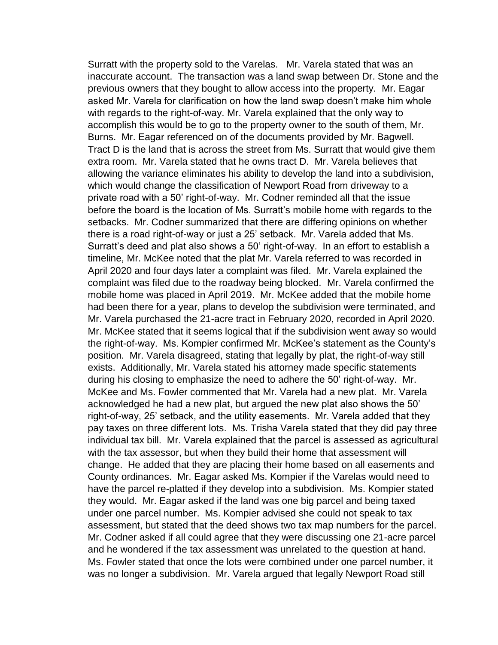Surratt with the property sold to the Varelas. Mr. Varela stated that was an inaccurate account. The transaction was a land swap between Dr. Stone and the previous owners that they bought to allow access into the property. Mr. Eagar asked Mr. Varela for clarification on how the land swap doesn't make him whole with regards to the right-of-way. Mr. Varela explained that the only way to accomplish this would be to go to the property owner to the south of them, Mr. Burns. Mr. Eagar referenced on of the documents provided by Mr. Bagwell. Tract D is the land that is across the street from Ms. Surratt that would give them extra room. Mr. Varela stated that he owns tract D. Mr. Varela believes that allowing the variance eliminates his ability to develop the land into a subdivision, which would change the classification of Newport Road from driveway to a private road with a 50' right-of-way. Mr. Codner reminded all that the issue before the board is the location of Ms. Surratt's mobile home with regards to the setbacks. Mr. Codner summarized that there are differing opinions on whether there is a road right-of-way or just a 25' setback. Mr. Varela added that Ms. Surratt's deed and plat also shows a 50' right-of-way. In an effort to establish a timeline, Mr. McKee noted that the plat Mr. Varela referred to was recorded in April 2020 and four days later a complaint was filed. Mr. Varela explained the complaint was filed due to the roadway being blocked. Mr. Varela confirmed the mobile home was placed in April 2019. Mr. McKee added that the mobile home had been there for a year, plans to develop the subdivision were terminated, and Mr. Varela purchased the 21-acre tract in February 2020, recorded in April 2020. Mr. McKee stated that it seems logical that if the subdivision went away so would the right-of-way. Ms. Kompier confirmed Mr. McKee's statement as the County's position. Mr. Varela disagreed, stating that legally by plat, the right-of-way still exists. Additionally, Mr. Varela stated his attorney made specific statements during his closing to emphasize the need to adhere the 50' right-of-way. Mr. McKee and Ms. Fowler commented that Mr. Varela had a new plat. Mr. Varela acknowledged he had a new plat, but argued the new plat also shows the 50' right-of-way, 25' setback, and the utility easements. Mr. Varela added that they pay taxes on three different lots. Ms. Trisha Varela stated that they did pay three individual tax bill. Mr. Varela explained that the parcel is assessed as agricultural with the tax assessor, but when they build their home that assessment will change. He added that they are placing their home based on all easements and County ordinances. Mr. Eagar asked Ms. Kompier if the Varelas would need to have the parcel re-platted if they develop into a subdivision. Ms. Kompier stated they would. Mr. Eagar asked if the land was one big parcel and being taxed under one parcel number. Ms. Kompier advised she could not speak to tax assessment, but stated that the deed shows two tax map numbers for the parcel. Mr. Codner asked if all could agree that they were discussing one 21-acre parcel and he wondered if the tax assessment was unrelated to the question at hand. Ms. Fowler stated that once the lots were combined under one parcel number, it was no longer a subdivision. Mr. Varela argued that legally Newport Road still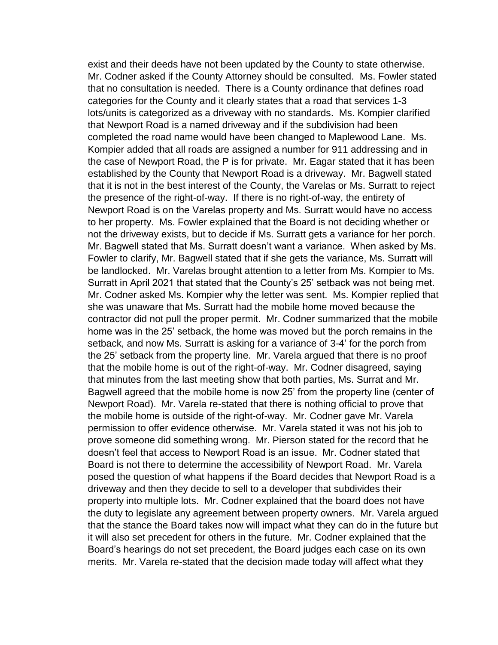exist and their deeds have not been updated by the County to state otherwise. Mr. Codner asked if the County Attorney should be consulted. Ms. Fowler stated that no consultation is needed. There is a County ordinance that defines road categories for the County and it clearly states that a road that services 1-3 lots/units is categorized as a driveway with no standards. Ms. Kompier clarified that Newport Road is a named driveway and if the subdivision had been completed the road name would have been changed to Maplewood Lane. Ms. Kompier added that all roads are assigned a number for 911 addressing and in the case of Newport Road, the P is for private. Mr. Eagar stated that it has been established by the County that Newport Road is a driveway. Mr. Bagwell stated that it is not in the best interest of the County, the Varelas or Ms. Surratt to reject the presence of the right-of-way. If there is no right-of-way, the entirety of Newport Road is on the Varelas property and Ms. Surratt would have no access to her property. Ms. Fowler explained that the Board is not deciding whether or not the driveway exists, but to decide if Ms. Surratt gets a variance for her porch. Mr. Bagwell stated that Ms. Surratt doesn't want a variance. When asked by Ms. Fowler to clarify, Mr. Bagwell stated that if she gets the variance, Ms. Surratt will be landlocked. Mr. Varelas brought attention to a letter from Ms. Kompier to Ms. Surratt in April 2021 that stated that the County's 25' setback was not being met. Mr. Codner asked Ms. Kompier why the letter was sent. Ms. Kompier replied that she was unaware that Ms. Surratt had the mobile home moved because the contractor did not pull the proper permit. Mr. Codner summarized that the mobile home was in the 25' setback, the home was moved but the porch remains in the setback, and now Ms. Surratt is asking for a variance of 3-4' for the porch from the 25' setback from the property line. Mr. Varela argued that there is no proof that the mobile home is out of the right-of-way. Mr. Codner disagreed, saying that minutes from the last meeting show that both parties, Ms. Surrat and Mr. Bagwell agreed that the mobile home is now 25' from the property line (center of Newport Road). Mr. Varela re-stated that there is nothing official to prove that the mobile home is outside of the right-of-way. Mr. Codner gave Mr. Varela permission to offer evidence otherwise. Mr. Varela stated it was not his job to prove someone did something wrong. Mr. Pierson stated for the record that he doesn't feel that access to Newport Road is an issue. Mr. Codner stated that Board is not there to determine the accessibility of Newport Road. Mr. Varela posed the question of what happens if the Board decides that Newport Road is a driveway and then they decide to sell to a developer that subdivides their property into multiple lots. Mr. Codner explained that the board does not have the duty to legislate any agreement between property owners. Mr. Varela argued that the stance the Board takes now will impact what they can do in the future but it will also set precedent for others in the future. Mr. Codner explained that the Board's hearings do not set precedent, the Board judges each case on its own merits. Mr. Varela re-stated that the decision made today will affect what they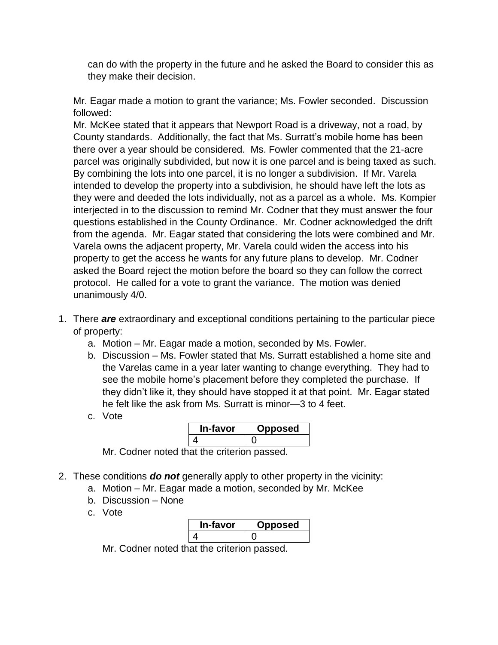can do with the property in the future and he asked the Board to consider this as they make their decision.

Mr. Eagar made a motion to grant the variance; Ms. Fowler seconded. Discussion followed:

Mr. McKee stated that it appears that Newport Road is a driveway, not a road, by County standards. Additionally, the fact that Ms. Surratt's mobile home has been there over a year should be considered. Ms. Fowler commented that the 21-acre parcel was originally subdivided, but now it is one parcel and is being taxed as such. By combining the lots into one parcel, it is no longer a subdivision. If Mr. Varela intended to develop the property into a subdivision, he should have left the lots as they were and deeded the lots individually, not as a parcel as a whole. Ms. Kompier interjected in to the discussion to remind Mr. Codner that they must answer the four questions established in the County Ordinance. Mr. Codner acknowledged the drift from the agenda. Mr. Eagar stated that considering the lots were combined and Mr. Varela owns the adjacent property, Mr. Varela could widen the access into his property to get the access he wants for any future plans to develop. Mr. Codner asked the Board reject the motion before the board so they can follow the correct protocol. He called for a vote to grant the variance. The motion was denied unanimously 4/0.

- 1. There *are* extraordinary and exceptional conditions pertaining to the particular piece of property:
	- a. Motion Mr. Eagar made a motion, seconded by Ms. Fowler.
	- b. Discussion Ms. Fowler stated that Ms. Surratt established a home site and the Varelas came in a year later wanting to change everything. They had to see the mobile home's placement before they completed the purchase. If they didn't like it, they should have stopped it at that point. Mr. Eagar stated he felt like the ask from Ms. Surratt is minor—3 to 4 feet.
	- c. Vote

| י-favor      | <b>posed</b> |
|--------------|--------------|
|              |              |
| -<br>-<br>__ |              |

Mr. Codner noted that the criterion passed.

- 2. These conditions *do not* generally apply to other property in the vicinity:
	- a. Motion Mr. Eagar made a motion, seconded by Mr. McKee
	- b. Discussion None
	- c. Vote

| <b>In-tavor</b> | posed |
|-----------------|-------|
|                 |       |

Mr. Codner noted that the criterion passed.